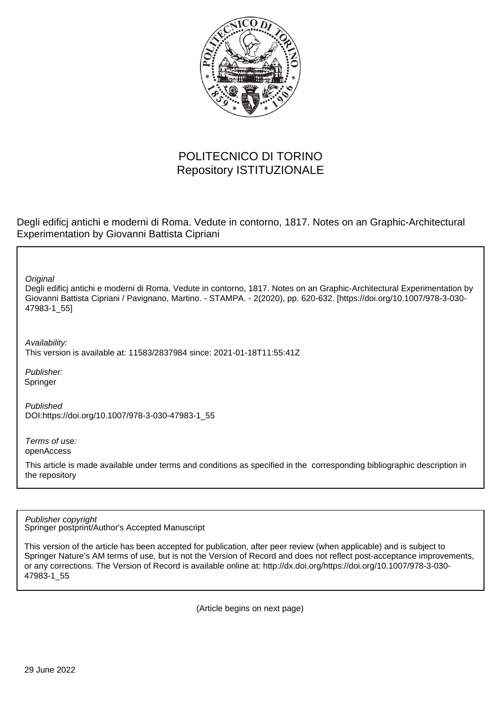

# POLITECNICO DI TORINO Repository ISTITUZIONALE

Degli edificj antichi e moderni di Roma. Vedute in contorno, 1817. Notes on an Graphic-Architectural Experimentation by Giovanni Battista Cipriani

**Original** 

Degli edificj antichi e moderni di Roma. Vedute in contorno, 1817. Notes on an Graphic-Architectural Experimentation by Giovanni Battista Cipriani / Pavignano, Martino. - STAMPA. - 2(2020), pp. 620-632. [https://doi.org/10.1007/978-3-030- 47983-1\_55]

Availability:

This version is available at: 11583/2837984 since: 2021-01-18T11:55:41Z

Publisher: Springer

Published DOI:https://doi.org/10.1007/978-3-030-47983-1\_55

Terms of use: openAccess

This article is made available under terms and conditions as specified in the corresponding bibliographic description in the repository

Springer postprint/Author's Accepted Manuscript Publisher copyright

This version of the article has been accepted for publication, after peer review (when applicable) and is subject to Springer Nature's AM terms of use, but is not the Version of Record and does not reflect post-acceptance improvements, or any corrections. The Version of Record is available online at: http://dx.doi.org/https://doi.org/10.1007/978-3-030- 47983-1\_55

(Article begins on next page)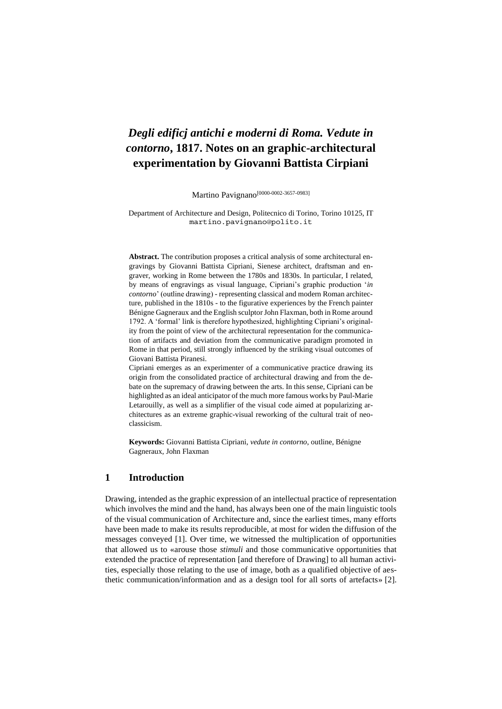# *Degli edificj antichi e moderni di Roma. Vedute in contorno***, 1817. Notes on an graphic-architectural experimentation by Giovanni Battista Cirpiani**

Martino Pavignano<sup>[0000-0002-3657-0983]</sup>

Department of Architecture and Design, Politecnico di Torino, Torino 10125, IT martino.pavignano@polito.it

**Abstract.** The contribution proposes a critical analysis of some architectural engravings by Giovanni Battista Cipriani, Sienese architect, draftsman and engraver, working in Rome between the 1780s and 1830s. In particular, I related, by means of engravings as visual language, Cipriani's graphic production '*in contorno*' (outline drawing) - representing classical and modern Roman architecture, published in the 1810s - to the figurative experiences by the French painter Bénigne Gagneraux and the English sculptor John Flaxman, both in Rome around 1792. A 'formal' link is therefore hypothesized, highlighting Cipriani's originality from the point of view of the architectural representation for the communication of artifacts and deviation from the communicative paradigm promoted in Rome in that period, still strongly influenced by the striking visual outcomes of Giovani Battista Piranesi.

Cipriani emerges as an experimenter of a communicative practice drawing its origin from the consolidated practice of architectural drawing and from the debate on the supremacy of drawing between the arts. In this sense, Cipriani can be highlighted as an ideal anticipator of the much more famous works by Paul-Marie Letarouilly, as well as a simplifier of the visual code aimed at popularizing architectures as an extreme graphic-visual reworking of the cultural trait of neoclassicism.

**Keywords:** Giovanni Battista Cipriani, *vedute in contorno*, outline, Bénigne Gagneraux, John Flaxman

## **1 Introduction**

Drawing, intended as the graphic expression of an intellectual practice of representation which involves the mind and the hand, has always been one of the main linguistic tools of the visual communication of Architecture and, since the earliest times, many efforts have been made to make its results reproducible, at most for widen the diffusion of the messages conveyed [1]. Over time, we witnessed the multiplication of opportunities that allowed us to «arouse those *stimuli* and those communicative opportunities that extended the practice of representation [and therefore of Drawing] to all human activities, especially those relating to the use of image, both as a qualified objective of aesthetic communication/information and as a design tool for all sorts of artefacts» [2].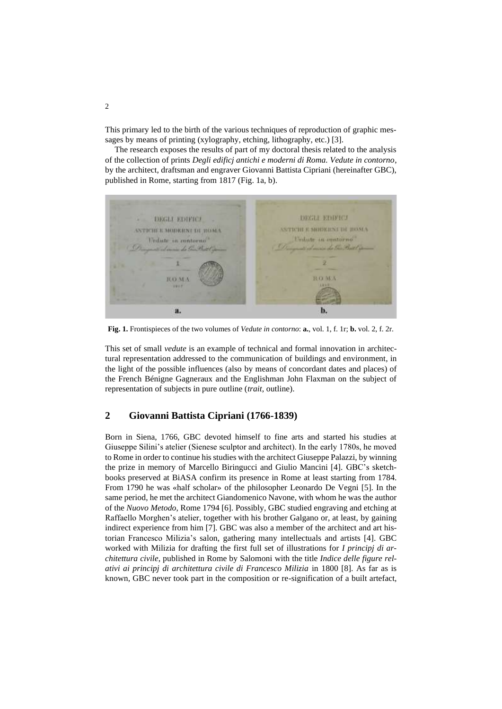This primary led to the birth of the various techniques of reproduction of graphic messages by means of printing (xylography, etching, lithography, etc.) [3].

The research exposes the results of part of my doctoral thesis related to the analysis of the collection of prints *Degli edificj antichi e moderni di Roma. Vedute in contorno*, by the architect, draftsman and engraver Giovanni Battista Cipriani (hereinafter GBC), published in Rome, starting from 1817 (Fig. 1a, b).



**Fig. 1.** Frontispieces of the two volumes of *Vedute in contorno*: **a.**, vol. 1, f. 1r; **b.** vol. 2, f. 2r.

This set of small *vedute* is an example of technical and formal innovation in architectural representation addressed to the communication of buildings and environment, in the light of the possible influences (also by means of concordant dates and places) of the French Bénigne Gagneraux and the Englishman John Flaxman on the subject of representation of subjects in pure outline (*trait*, outline).

#### **2 Giovanni Battista Cipriani (1766-1839)**

Born in Siena, 1766, GBC devoted himself to fine arts and started his studies at Giuseppe Silini's atelier (Sienese sculptor and architect). In the early 1780s, he moved to Rome in order to continue his studies with the architect Giuseppe Palazzi, by winning the prize in memory of Marcello Biringucci and Giulio Mancini [4]. GBC's sketchbooks preserved at BiASA confirm its presence in Rome at least starting from 1784. From 1790 he was «half scholar» of the philosopher Leonardo De Vegni [5]. In the same period, he met the architect Giandomenico Navone, with whom he was the author of the *Nuovo Metodo*, Rome 1794 [6]. Possibly, GBC studied engraving and etching at Raffaello Morghen's atelier, together with his brother Galgano or, at least, by gaining indirect experience from him [7]. GBC was also a member of the architect and art historian Francesco Milizia's salon, gathering many intellectuals and artists [4]. GBC worked with Milizia for drafting the first full set of illustrations for *I principj di architettura civile*, published in Rome by Salomoni with the title *Indice delle figure relativi ai principj di architettura civile di Francesco Milizia* in 1800 [8]. As far as is known, GBC never took part in the composition or re-signification of a built artefact,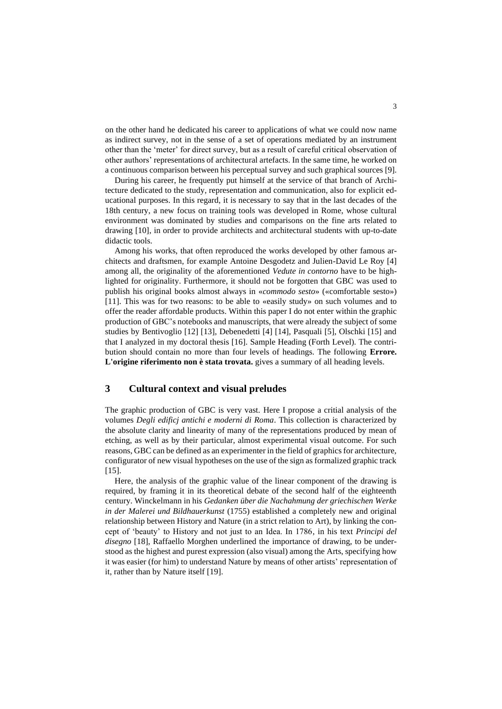on the other hand he dedicated his career to applications of what we could now name as indirect survey, not in the sense of a set of operations mediated by an instrument other than the 'meter' for direct survey, but as a result of careful critical observation of other authors' representations of architectural artefacts. In the same time, he worked on a continuous comparison between his perceptual survey and such graphical sources [9].

During his career, he frequently put himself at the service of that branch of Architecture dedicated to the study, representation and communication, also for explicit educational purposes. In this regard, it is necessary to say that in the last decades of the 18th century, a new focus on training tools was developed in Rome, whose cultural environment was dominated by studies and comparisons on the fine arts related to drawing [10], in order to provide architects and architectural students with up-to-date didactic tools.

Among his works, that often reproduced the works developed by other famous architects and draftsmen, for example Antoine Desgodetz and Julien-David Le Roy [4] among all, the originality of the aforementioned *Vedute in contorno* have to be highlighted for originality. Furthermore, it should not be forgotten that GBC was used to publish his original books almost always in «*commodo sesto*» («comfortable sesto») [11]. This was for two reasons: to be able to «easily study» on such volumes and to offer the reader affordable products. Within this paper I do not enter within the graphic production of GBC's notebooks and manuscripts, that were already the subject of some studies by Bentivoglio [12] [13], Debenedetti [4] [14], Pasquali [5], Olschki [15] and that I analyzed in my doctoral thesis [16]. Sample Heading (Forth Level). The contribution should contain no more than four levels of headings. The following **Errore. L'origine riferimento non è stata trovata.** gives a summary of all heading levels.

## **3 Cultural context and visual preludes**

The graphic production of GBC is very vast. Here I propose a critial analysis of the volumes *Degli edificj antichi e moderni di Roma*. This collection is characterized by the absolute clarity and linearity of many of the representations produced by mean of etching, as well as by their particular, almost experimental visual outcome. For such reasons, GBC can be defined as an experimenter in the field of graphics for architecture, configurator of new visual hypotheses on the use of the sign as formalized graphic track  $[15]$ .

Here, the analysis of the graphic value of the linear component of the drawing is required, by framing it in its theoretical debate of the second half of the eighteenth century. Winckelmann in his *Gedanken über die Nachahmung der griechischen Werke in der Malerei und Bildhauerkunst* (1755) established a completely new and original relationship between History and Nature (in a strict relation to Art), by linking the concept of 'beauty' to History and not just to an Idea. In 1786, in his text *Principi del disegno* [18], Raffaello Morghen underlined the importance of drawing, to be understood as the highest and purest expression (also visual) among the Arts, specifying how it was easier (for him) to understand Nature by means of other artists' representation of it, rather than by Nature itself [19].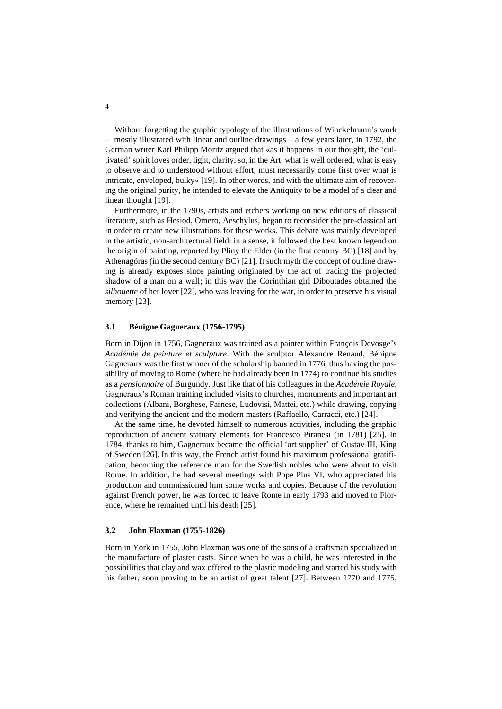Without forgetting the graphic typology of the illustrations of Winckelmann's work – mostly illustrated with linear and outline drawings – a few years later, in 1792, the German writer Karl Philipp Moritz argued that «as it happens in our thought, the 'cultivated' spirit loves order, light, clarity, so, in the Art, what is well ordered, what is easy to observe and to understood without effort, must necessarily come first over what is intricate, enveloped, bulky» [19]. In other words, and with the ultimate aim of recovering the original purity, he intended to elevate the Antiquity to be a model of a clear and linear thought [19].

Furthermore, in the 1790s, artists and etchers working on new editions of classical literature, such as Hesiod, Omero, Aeschylus, began to reconsider the pre-classical art in order to create new illustrations for these works. This debate was mainly developed in the artistic, non-architectural field: in a sense, it followed the best known legend on the origin of painting, reported by Pliny the Elder (in the first century BC) [18] and by Athenagóras (in the second century BC) [21]. It such myth the concept of outline drawing is already exposes since painting originated by the act of tracing the projected shadow of a man on a wall; in this way the Corinthian girl Diboutades obtained the *silhouette* of her lover [22], who was leaving for the war, in order to preserve his visual memory [23].

#### **3.1 Bénigne Gagneraux (1756-1795)**

Born in Dijon in 1756, Gagneraux was trained as a painter within François Devosge's *Académie de peinture et sculpture*. With the sculptor Alexandre Renaud, Bénigne Gagneraux was the first winner of the scholarship banned in 1776, thus having the possibility of moving to Rome (where he had already been in 1774) to continue his studies as a *pensionnaire* of Burgundy. Just like that of his colleagues in the *Académie Royale*, Gagneraux's Roman training included visits to churches, monuments and important art collections (Albani, Borghese, Farnese, Ludovisi, Mattei, etc.) while drawing, copying and verifying the ancient and the modern masters (Raffaello, Carracci, etc.) [24].

At the same time, he devoted himself to numerous activities, including the graphic reproduction of ancient statuary elements for Francesco Piranesi (in 1781) [25]. In 1784, thanks to him, Gagneraux became the official 'art supplier' of Gustav III, King of Sweden [26]. In this way, the French artist found his maximum professional gratification, becoming the reference man for the Swedish nobles who were about to visit Rome. In addition, he had several meetings with Pope Pius VI, who appreciated his production and commissioned him some works and copies. Because of the revolution against French power, he was forced to leave Rome in early 1793 and moved to Florence, where he remained until his death [25].

#### **3.2 John Flaxman (1755-1826)**

Born in York in 1755, John Flaxman was one of the sons of a craftsman specialized in the manufacture of plaster casts. Since when he was a child, he was interested in the possibilities that clay and wax offered to the plastic modeling and started his study with his father, soon proving to be an artist of great talent [27]. Between 1770 and 1775,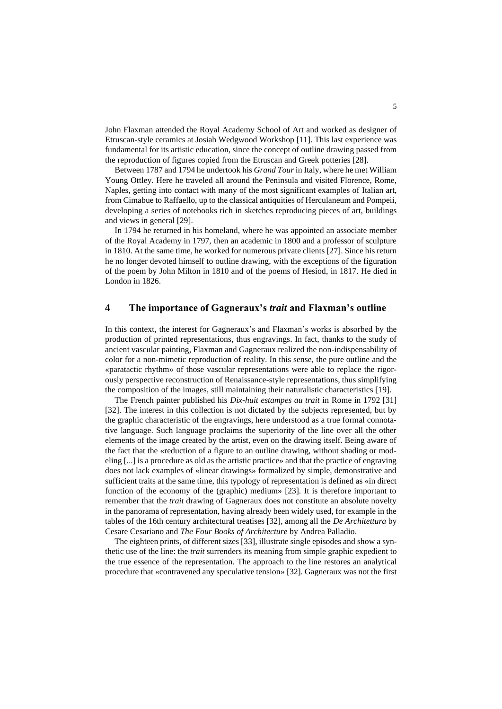John Flaxman attended the Royal Academy School of Art and worked as designer of Etruscan-style ceramics at Josiah Wedgwood Workshop [11]. This last experience was fundamental for its artistic education, since the concept of outline drawing passed from the reproduction of figures copied from the Etruscan and Greek potteries [28].

Between 1787 and 1794 he undertook his *Grand Tour* in Italy, where he met William Young Ottley. Here he traveled all around the Peninsula and visited Florence, Rome, Naples, getting into contact with many of the most significant examples of Italian art, from Cimabue to Raffaello, up to the classical antiquities of Herculaneum and Pompeii, developing a series of notebooks rich in sketches reproducing pieces of art, buildings and views in general [29].

In 1794 he returned in his homeland, where he was appointed an associate member of the Royal Academy in 1797, then an academic in 1800 and a professor of sculpture in 1810. At the same time, he worked for numerous private clients [27]. Since his return he no longer devoted himself to outline drawing, with the exceptions of the figuration of the poem by John Milton in 1810 and of the poems of Hesiod, in 1817. He died in London in 1826.

### **4 The importance of Gagneraux's** *trait* **and Flaxman's outline**

In this context, the interest for Gagneraux's and Flaxman's works is absorbed by the production of printed representations, thus engravings. In fact, thanks to the study of ancient vascular painting, Flaxman and Gagneraux realized the non-indispensability of color for a non-mimetic reproduction of reality. In this sense, the pure outline and the «paratactic rhythm» of those vascular representations were able to replace the rigorously perspective reconstruction of Renaissance-style representations, thus simplifying the composition of the images, still maintaining their naturalistic characteristics [19].

The French painter published his *Dix-huit estampes au trait* in Rome in 1792 [31] [32]. The interest in this collection is not dictated by the subjects represented, but by the graphic characteristic of the engravings, here understood as a true formal connotative language. Such language proclaims the superiority of the line over all the other elements of the image created by the artist, even on the drawing itself. Being aware of the fact that the «reduction of a figure to an outline drawing, without shading or modeling [...] is a procedure as old as the artistic practice» and that the practice of engraving does not lack examples of «linear drawings» formalized by simple, demonstrative and sufficient traits at the same time, this typology of representation is defined as «in direct function of the economy of the (graphic) medium» [23]. It is therefore important to remember that the *trait* drawing of Gagneraux does not constitute an absolute novelty in the panorama of representation, having already been widely used, for example in the tables of the 16th century architectural treatises [32], among all the *De Architettura* by Cesare Cesariano and *The Four Books of Architecture* by Andrea Palladio.

The eighteen prints, of different sizes [33], illustrate single episodes and show a synthetic use of the line: the *trait* surrenders its meaning from simple graphic expedient to the true essence of the representation. The approach to the line restores an analytical procedure that «contravened any speculative tension» [32]. Gagneraux was not the first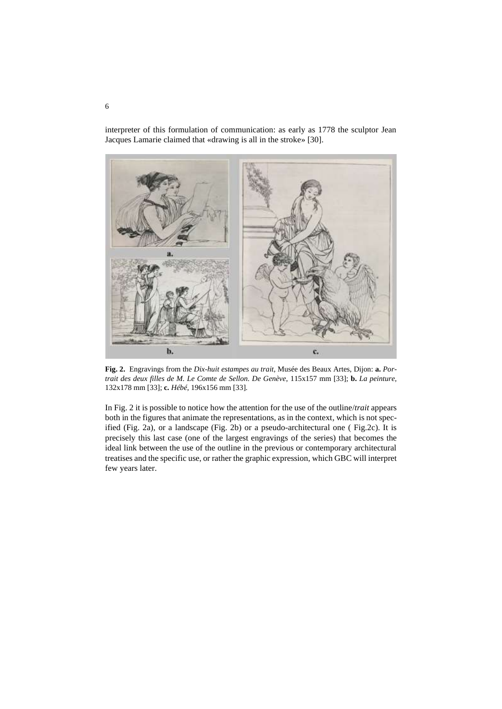interpreter of this formulation of communication: as early as 1778 the sculptor Jean Jacques Lamarie claimed that «drawing is all in the stroke» [30].



**Fig. 2.** Engravings from the *Dix-huit estampes au trait*, Musée des Beaux Artes, Dijon: **a.** *Portrait des deux filles de M. Le Comte de Sellon. De Genève*, 115x157 mm [33]; **b.** *La peinture*, 132x178 mm [33]; **c.** *Hébé*, 196x156 mm [33].

In Fig. 2 it is possible to notice how the attention for the use of the outline/*trait* appears both in the figures that animate the representations, as in the context, which is not specified (Fig. 2a), or a landscape (Fig. 2b) or a pseudo-architectural one ( Fig.2c). It is precisely this last case (one of the largest engravings of the series) that becomes the ideal link between the use of the outline in the previous or contemporary architectural treatises and the specific use, or rather the graphic expression, which GBC will interpret few years later.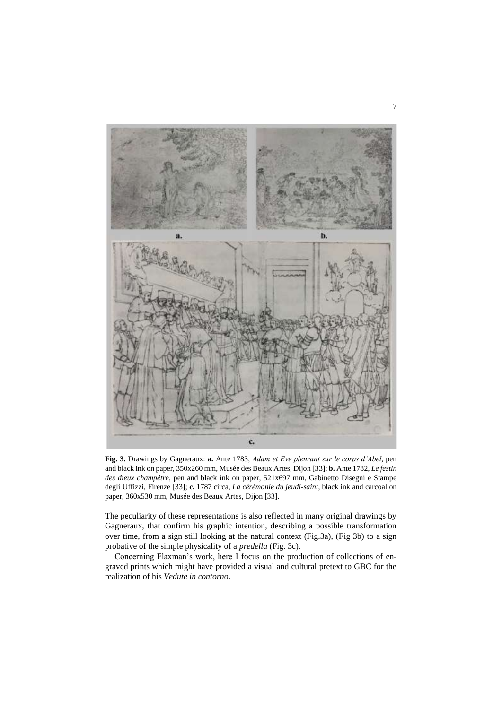

**Fig. 3.** Drawings by Gagneraux: **a.** Ante 1783, *Adam et Eve pleurant sur le corps d'Abel*, pen and black ink on paper, 350x260 mm, Musée des Beaux Artes, Dijon [33]; **b.** Ante 1782, *Le festin des dieux champêtre*, pen and black ink on paper, 521x697 mm, Gabinetto Disegni e Stampe degli Uffizzi, Firenze [33]; **c.** 1787 circa, *La cérémonie du jeudi-saint*, black ink and carcoal on paper, 360x530 mm, Musée des Beaux Artes, Dijon [33].

The peculiarity of these representations is also reflected in many original drawings by Gagneraux, that confirm his graphic intention, describing a possible transformation over time, from a sign still looking at the natural context (Fig.3a), (Fig 3b) to a sign probative of the simple physicality of a *predella* (Fig. 3c).

Concerning Flaxman's work, here I focus on the production of collections of engraved prints which might have provided a visual and cultural pretext to GBC for the realization of his *Vedute in contorno*.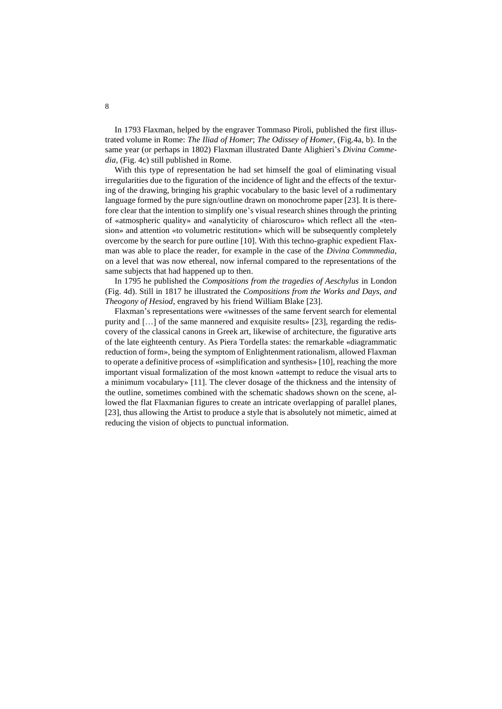In 1793 Flaxman, helped by the engraver Tommaso Piroli, published the first illustrated volume in Rome: *The Iliad of Homer*; *The Odissey of Homer*, (Fig.4a, b). In the same year (or perhaps in 1802) Flaxman illustrated Dante Alighieri's *Divina Commedia*, (Fig. 4c) still published in Rome.

With this type of representation he had set himself the goal of eliminating visual irregularities due to the figuration of the incidence of light and the effects of the texturing of the drawing, bringing his graphic vocabulary to the basic level of a rudimentary language formed by the pure sign/outline drawn on monochrome paper [23]. It is therefore clear that the intention to simplify one's visual research shines through the printing of «atmospheric quality» and «analyticity of chiaroscuro» which reflect all the «tension» and attention «to volumetric restitution» which will be subsequently completely overcome by the search for pure outline [10]. With this techno-graphic expedient Flaxman was able to place the reader, for example in the case of the *Divina Commmedia*, on a level that was now ethereal, now infernal compared to the representations of the same subjects that had happened up to then.

In 1795 he published the *Compositions from the tragedies of Aeschylus* in London (Fig. 4d). Still in 1817 he illustrated the *Compositions from the Works and Days, and Theogony of Hesiod*, engraved by his friend William Blake [23].

Flaxman's representations were «witnesses of the same fervent search for elemental purity and […] of the same mannered and exquisite results» [23], regarding the rediscovery of the classical canons in Greek art, likewise of architecture, the figurative arts of the late eighteenth century. As Piera Tordella states: the remarkable «diagrammatic reduction of form», being the symptom of Enlightenment rationalism, allowed Flaxman to operate a definitive process of «simplification and synthesis» [10], reaching the more important visual formalization of the most known «attempt to reduce the visual arts to a minimum vocabulary» [11]. The clever dosage of the thickness and the intensity of the outline, sometimes combined with the schematic shadows shown on the scene, allowed the flat Flaxmanian figures to create an intricate overlapping of parallel planes, [23], thus allowing the Artist to produce a style that is absolutely not mimetic, aimed at reducing the vision of objects to punctual information.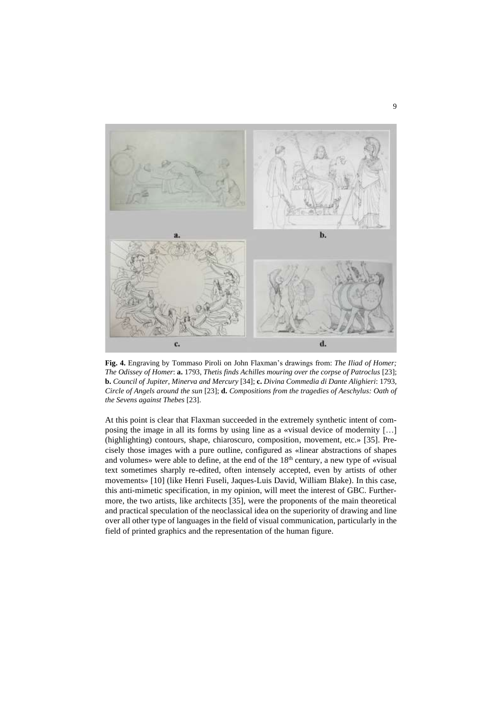

**Fig. 4.** Engraving by Tommaso Piroli on John Flaxman's drawings from: *The Iliad of Homer; The Odissey of Homer*: **a.** 1793, *Thetis finds Achilles mouring over the corpse of Patroclus* [23]; **b.** *Council of Jupiter, Minerva and Mercury* [34]; **c.** *Divina Commedia di Dante Alighieri*: 1793, *Circle of Angels around the sun* [23]; **d.** *Compositions from the tragedies of Aeschylus: Oath of the Sevens against Thebes* [23].

At this point is clear that Flaxman succeeded in the extremely synthetic intent of composing the image in all its forms by using line as a «visual device of modernity […] (highlighting) contours, shape, chiaroscuro, composition, movement, etc.» [35]. Precisely those images with a pure outline, configured as «linear abstractions of shapes and volumes» were able to define, at the end of the  $18<sup>th</sup>$  century, a new type of «visual text sometimes sharply re-edited, often intensely accepted, even by artists of other movements» [10] (like Henri Fuseli, Jaques-Luis David, William Blake). In this case, this anti-mimetic specification, in my opinion, will meet the interest of GBC. Furthermore, the two artists, like architects [35], were the proponents of the main theoretical and practical speculation of the neoclassical idea on the superiority of drawing and line over all other type of languages in the field of visual communication, particularly in the field of printed graphics and the representation of the human figure.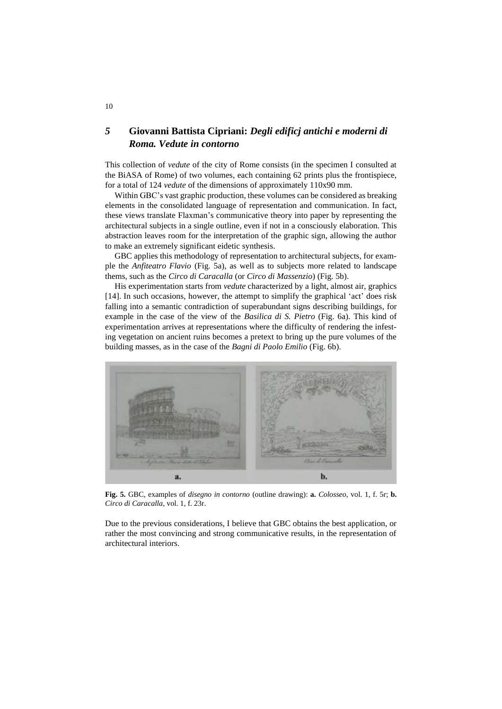# *5* **Giovanni Battista Cipriani:** *Degli edificj antichi e moderni di Roma. Vedute in contorno*

This collection of *vedute* of the city of Rome consists (in the specimen I consulted at the BiASA of Rome) of two volumes, each containing 62 prints plus the frontispiece, for a total of 124 *vedute* of the dimensions of approximately 110x90 mm.

Within GBC's vast graphic production, these volumes can be considered as breaking elements in the consolidated language of representation and communication. In fact, these views translate Flaxman's communicative theory into paper by representing the architectural subjects in a single outline, even if not in a consciously elaboration. This abstraction leaves room for the interpretation of the graphic sign, allowing the author to make an extremely significant eidetic synthesis.

GBC applies this methodology of representation to architectural subjects, for example the *Anfiteatro Flavio* (Fig. 5a), as well as to subjects more related to landscape thems, such as the *Circo di Caracalla* (or *Circo di Massenzio*) (Fig. 5b).

His experimentation starts from *vedute* characterized by a light, almost air, graphics [14]. In such occasions, however, the attempt to simplify the graphical 'act' does risk falling into a semantic contradiction of superabundant signs describing buildings, for example in the case of the view of the *Basilica di S. Pietro* (Fig. 6a). This kind of experimentation arrives at representations where the difficulty of rendering the infesting vegetation on ancient ruins becomes a pretext to bring up the pure volumes of the building masses, as in the case of the *Bagni di Paolo Emilio* (Fig. 6b).



**Fig. 5.** GBC, examples of *disegno in contorno* (outline drawing): **a.** *Colosseo*, vol. 1, f. 5r; **b.** *Circo di Caracalla*, vol. 1, f. 23r.

Due to the previous considerations, I believe that GBC obtains the best application, or rather the most convincing and strong communicative results, in the representation of architectural interiors.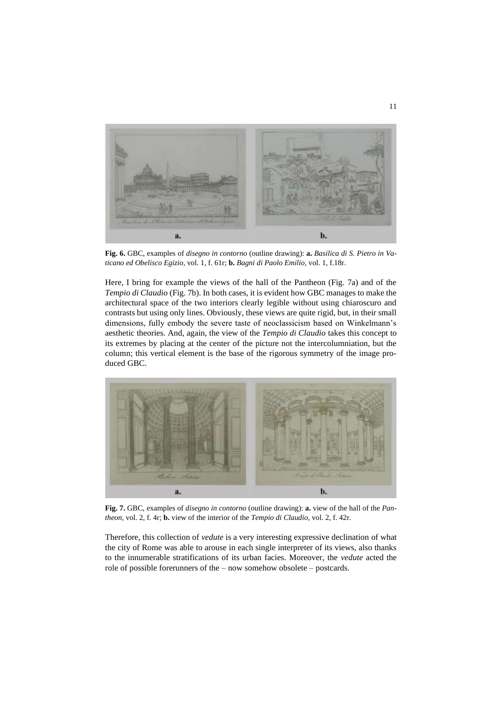

**Fig. 6.** GBC, examples of *disegno in contorno* (outline drawing): **a.** *Basilica di S. Pietro in Vaticano ed Obelisco Egizio*, vol. 1, f. 61r; **b.** *Bagni di Paolo Emilio*, vol. 1, f.18r.

Here, I bring for example the views of the hall of the Pantheon (Fig. 7a) and of the *Tempio di Claudio* (Fig. 7b). In both cases, it is evident how GBC manages to make the architectural space of the two interiors clearly legible without using chiaroscuro and contrasts but using only lines. Obviously, these views are quite rigid, but, in their small dimensions, fully embody the severe taste of neoclassicism based on Winkelmann's aesthetic theories. And, again, the view of the *Tempio di Claudio* takes this concept to its extremes by placing at the center of the picture not the intercolumniation, but the column; this vertical element is the base of the rigorous symmetry of the image produced GBC.



**Fig. 7.** GBC, examples of *disegno in contorno* (outline drawing): **a.** view of the hall of the *Pantheon*, vol. 2, f. 4r; **b.** view of the interior of the *Tempio di Claudio*, vol. 2, f. 42r.

Therefore, this collection of *vedute* is a very interesting expressive declination of what the city of Rome was able to arouse in each single interpreter of its views, also thanks to the innumerable stratifications of its urban facies. Moreover, the *vedute* acted the role of possible forerunners of the – now somehow obsolete – postcards.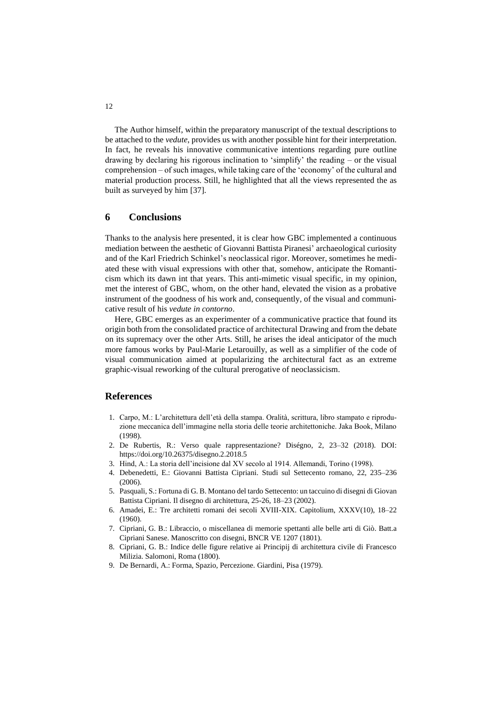The Author himself, within the preparatory manuscript of the textual descriptions to be attached to the *vedute*, provides us with another possible hint for their interpretation. In fact, he reveals his innovative communicative intentions regarding pure outline drawing by declaring his rigorous inclination to 'simplify' the reading – or the visual comprehension – of such images, while taking care of the 'economy' of the cultural and material production process. Still, he highlighted that all the views represented the as built as surveyed by him [37].

## **6 Conclusions**

Thanks to the analysis here presented, it is clear how GBC implemented a continuous mediation between the aesthetic of Giovanni Battista Piranesi' archaeological curiosity and of the Karl Friedrich Schinkel's neoclassical rigor. Moreover, sometimes he mediated these with visual expressions with other that, somehow, anticipate the Romanticism which its dawn int that years. This anti-mimetic visual specific, in my opinion, met the interest of GBC, whom, on the other hand, elevated the vision as a probative instrument of the goodness of his work and, consequently, of the visual and communicative result of his *vedute in contorno*.

Here, GBC emerges as an experimenter of a communicative practice that found its origin both from the consolidated practice of architectural Drawing and from the debate on its supremacy over the other Arts. Still, he arises the ideal anticipator of the much more famous works by Paul-Marie Letarouilly, as well as a simplifier of the code of visual communication aimed at popularizing the architectural fact as an extreme graphic-visual reworking of the cultural prerogative of neoclassicism.

## **References**

- 1. Carpo, M.: L'architettura dell'età della stampa. Oralità, scrittura, libro stampato e riproduzione meccanica dell'immagine nella storia delle teorie architettoniche. Jaka Book, Milano (1998).
- 2. De Rubertis, R.: Verso quale rappresentazione? Diségno, 2, 23–32 (2018). DOI: https://doi.org/10.26375/disegno.2.2018.5
- 3. Hind, A.: La storia dell'incisione dal XV secolo al 1914. Allemandi, Torino (1998).
- 4. Debenedetti, E.: Giovanni Battista Cipriani. Studi sul Settecento romano, 22, 235–236 (2006).
- 5. Pasquali, S.: Fortuna di G. B. Montano del tardo Settecento: un taccuino di disegni di Giovan Battista Cipriani. Il disegno di architettura, 25-26, 18–23 (2002).
- 6. Amadei, E.: Tre architetti romani dei secoli XVIII-XIX. Capitolium, XXXV(10), 18–22 (1960).
- 7. Cipriani, G. B.: Libraccio, o miscellanea di memorie spettanti alle belle arti di Giò. Batt.a Cipriani Sanese. Manoscritto con disegni, BNCR VE 1207 (1801).
- 8. Cipriani, G. B.: Indice delle figure relative ai Principij di architettura civile di Francesco Milizia. Salomoni, Roma (1800).
- 9. De Bernardi, A.: Forma, Spazio, Percezione. Giardini, Pisa (1979).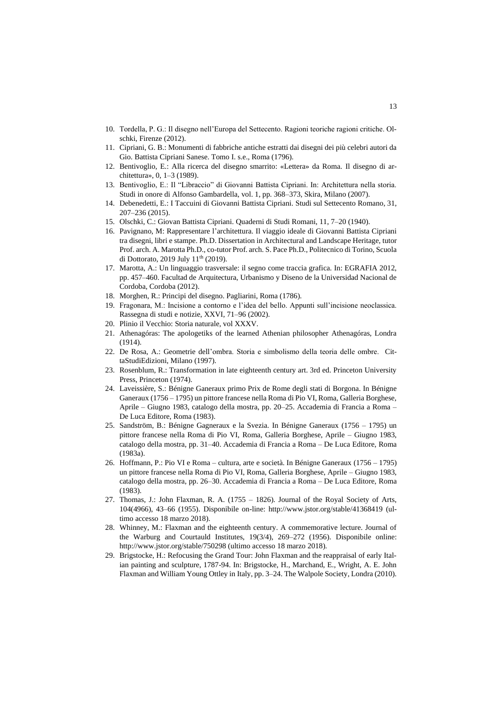- 10. Tordella, P. G.: Il disegno nell'Europa del Settecento. Ragioni teoriche ragioni critiche. Olschki, Firenze (2012).
- 11. Cipriani, G. B.: Monumenti di fabbriche antiche estratti dai disegni dei più celebri autori da Gio. Battista Cipriani Sanese. Tomo I. s.e., Roma (1796).
- 12. Bentivoglio, E.: Alla ricerca del disegno smarrito: «Lettera» da Roma. Il disegno di architettura», 0, 1–3 (1989).
- 13. Bentivoglio, E.: Il "Libraccio" di Giovanni Battista Cipriani. In: Architettura nella storia. Studi in onore di Alfonso Gambardella, vol. 1, pp. 368–373, Skira, Milano (2007).
- 14. Debenedetti, E.: I Taccuini di Giovanni Battista Cipriani. Studi sul Settecento Romano, 31, 207–236 (2015).
- 15. Olschki, C.: Giovan Battista Cipriani. Quaderni di Studi Romani, 11, 7–20 (1940).
- 16. Pavignano, M: Rappresentare l'architettura. Il viaggio ideale di Giovanni Battista Cipriani tra disegni, libri e stampe. Ph.D. Dissertation in Architectural and Landscape Heritage, tutor Prof. arch. A. Marotta Ph.D., co-tutor Prof. arch. S. Pace Ph.D., Politecnico di Torino, Scuola di Dottorato, 2019 July 11<sup>th</sup> (2019).
- 17. Marotta, A.: Un linguaggio trasversale: il segno come traccia grafica. In: EGRAFIA 2012, pp. 457–460. Facultad de Arquitectura, Urbanismo y Diseno de la Universidad Nacional de Cordoba, Cordoba (2012).
- 18. Morghen, R.: Principi del disegno. Pagliarini, Roma (1786).
- 19. Fragonara, M.: Incisione a contorno e l'idea del bello. Appunti sull'incisione neoclassica. Rassegna di studi e notizie, XXVI, 71–96 (2002).
- 20. Plinio il Vecchio: Storia naturale, vol XXXV.
- 21. Athenagóras: The apologetiks of the learned Athenian philosopher Athenagóras, Londra (1914).
- 22. De Rosa, A.: Geometrie dell'ombra. Storia e simbolismo della teoria delle ombre. CittaStudiEdizioni, Milano (1997).
- 23. Rosenblum, R.: Transformation in late eighteenth century art. 3rd ed. Princeton University Press, Princeton (1974).
- 24. Laveissière, S.: Bénigne Ganeraux primo Prix de Rome degli stati di Borgona. In Bénigne Ganeraux (1756 – 1795) un pittore francese nella Roma di Pio VI, Roma, Galleria Borghese, Aprile – Giugno 1983, catalogo della mostra, pp. 20–25. Accademia di Francia a Roma – De Luca Editore, Roma (1983).
- 25. Sandström, B.: Bénigne Gagneraux e la Svezia. In Bénigne Ganeraux (1756 1795) un pittore francese nella Roma di Pio VI, Roma, Galleria Borghese, Aprile – Giugno 1983, catalogo della mostra, pp. 31–40. Accademia di Francia a Roma – De Luca Editore, Roma (1983a).
- 26. Hoffmann, P.: Pio VI e Roma cultura, arte e società. In Bénigne Ganeraux (1756 1795) un pittore francese nella Roma di Pio VI, Roma, Galleria Borghese, Aprile – Giugno 1983, catalogo della mostra, pp. 26–30. Accademia di Francia a Roma – De Luca Editore, Roma (1983).
- 27. Thomas, J.: John Flaxman, R. A. (1755 1826). Journal of the Royal Society of Arts, 104(4966), 43–66 (1955). Disponibile on-line:<http://www.jstor.org/stable/41368419> (ultimo accesso 18 marzo 2018).
- 28. Whinney, M.: Flaxman and the eighteenth century. A commemorative lecture. Journal of the Warburg and Courtauld Institutes, 19(3/4), 269–272 (1956). Disponibile online: http://www.jstor.org/stable/750298 (ultimo accesso 18 marzo 2018).
- 29. Brigstocke, H.: Refocusing the Grand Tour: John Flaxman and the reappraisal of early Italian painting and sculpture, 1787-94. In: Brigstocke, H., Marchand, E., Wright, A. E. John Flaxman and William Young Ottley in Italy, pp. 3–24. The Walpole Society, Londra (2010).